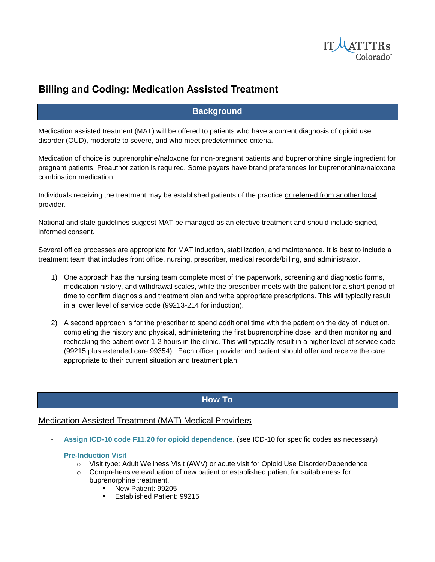

# **Billing and Coding: Medication Assisted Treatment**

# **Background**

Medication assisted treatment (MAT) will be offered to patients who have a current diagnosis of opioid use disorder (OUD), moderate to severe, and who meet predetermined criteria.

Medication of choice is buprenorphine/naloxone for non-pregnant patients and buprenorphine single ingredient for pregnant patients. Preauthorization is required. Some payers have brand preferences for buprenorphine/naloxone combination medication.

Individuals receiving the treatment may be established patients of the practice or referred from another local provider.

National and state guidelines suggest MAT be managed as an elective treatment and should include signed, informed consent.

Several office processes are appropriate for MAT induction, stabilization, and maintenance. It is best to include a treatment team that includes front office, nursing, prescriber, medical records/billing, and administrator.

- 1) One approach has the nursing team complete most of the paperwork, screening and diagnostic forms, medication history, and withdrawal scales, while the prescriber meets with the patient for a short period of time to confirm diagnosis and treatment plan and write appropriate prescriptions. This will typically result in a lower level of service code (99213-214 for induction).
- 2) A second approach is for the prescriber to spend additional time with the patient on the day of induction, completing the history and physical, administering the first buprenorphine dose, and then monitoring and rechecking the patient over 1-2 hours in the clinic. This will typically result in a higher level of service code (99215 plus extended care 99354). Each office, provider and patient should offer and receive the care appropriate to their current situation and treatment plan.

# **How To**

## Medication Assisted Treatment (MAT) Medical Providers

- **Assign ICD-10 code F11.20 for opioid dependence**. (see ICD-10 for specific codes as necessary)
- **Pre-Induction Visit** 
	- o Visit type: Adult Wellness Visit (AWV) or acute visit for Opioid Use Disorder/Dependence
	- $\circ$  Comprehensive evaluation of new patient or established patient for suitableness for
		- buprenorphine treatment.
			- New Patient: 99205
			- Established Patient: 99215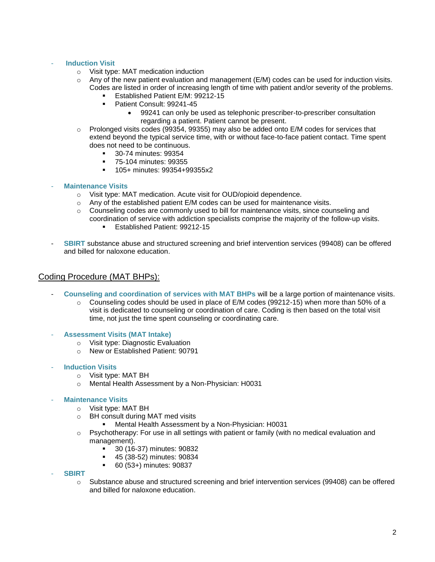#### **Induction Visit**

- o Visit type: MAT medication induction
- $\circ$  Any of the new patient evaluation and management (E/M) codes can be used for induction visits. Codes are listed in order of increasing length of time with patient and/or severity of the problems.
	- Established Patient E/M: 99212-15
		- Patient Consult: 99241-45
			- 99241 can only be used as telephonic prescriber-to-prescriber consultation regarding a patient. Patient cannot be present.
- $\circ$  Prolonged visits codes (99354, 99355) may also be added onto E/M codes for services that extend beyond the typical service time, with or without face-to-face patient contact. Time spent does not need to be continuous.
	- 30-74 minutes: 99354
	- 75-104 minutes: 99355
	- **105+ minutes: 99354+99355x2**
- **Maintenance Visits**
	- o Visit type: MAT medication. Acute visit for OUD/opioid dependence.
	- o Any of the established patient E/M codes can be used for maintenance visits.
	- $\circ$  Counseling codes are commonly used to bill for maintenance visits, since counseling and coordination of service with addiction specialists comprise the majority of the follow-up visits.
		- Established Patient: 99212-15
- **SBIRT** substance abuse and structured screening and brief intervention services (99408) can be offered and billed for naloxone education.

### Coding Procedure (MAT BHPs):

- **Counseling and coordination of services with MAT BHPs** will be a large portion of maintenance visits.
	- $\circ$  Counseling codes should be used in place of E/M codes (99212-15) when more than 50% of a visit is dedicated to counseling or coordination of care. Coding is then based on the total visit time, not just the time spent counseling or coordinating care.
- **Assessment Visits (MAT Intake)**
	- o Visit type: Diagnostic Evaluation
	- o New or Established Patient: 90791
- **Induction Visits** 
	- o Visit type: MAT BH
	- o Mental Health Assessment by a Non-Physician: H0031

#### - **Maintenance Visits**

- o Visit type: MAT BH
- o BH consult during MAT med visits
	- Mental Health Assessment by a Non-Physician: H0031
- $\circ$  Psychotherapy: For use in all settings with patient or family (with no medical evaluation and management).
	- **30 (16-37) minutes: 90832**
	- 45 (38-52) minutes: 90834
	- 60 (53+) minutes: 90837

#### - **SBIRT**

o Substance abuse and structured screening and brief intervention services (99408) can be offered and billed for naloxone education.